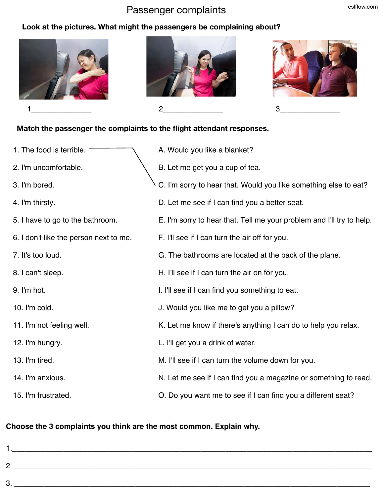# Passenger complaints eslflow.com

#### **Look at the pictures. What might the passengers be complaining about?**







### **Match the passenger the complaints to the flight attendant responses.**

1. The food is terrible. 2. I'm uncomfortable. 3. I'm bored. 4. I'm thirsty. 5. I have to go to the bathroom. 6. I don't like the person next to me. 7. It's too loud. 8. I can't sleep. 9. I'm hot. 10. I'm cold. 11. I'm not feeling well. 12. I'm hungry. 13. I'm tired. 14. I'm anxious. 15. I'm frustrated. A. Would you like a blanket? B. Let me get you a cup of tea. C. I'm sorry to hear that. Would you like something else to eat? D. Let me see if I can find you a better seat. E. I'm sorry to hear that. Tell me your problem and I'll try to help. F. I'll see if I can turn the air off for you. G. The bathrooms are located at the back of the plane. H. I'll see if I can turn the air on for you. I. I'll see if I can find you something to eat. J. Would you like me to get you a pillow? K. Let me know if there's anything I can do to help you relax. L. I'll get you a drink of water. M. I'll see if I can turn the volume down for you. N. Let me see if I can find you a magazine or something to read. O. Do you want me to see if I can find you a different seat?

# **Choose the 3 complaints you think are the most common. Explain why.**

1.  $\blacksquare$ 2 \_\_\_\_\_\_\_\_\_\_\_\_\_\_\_\_\_\_\_\_\_\_\_\_\_\_\_\_\_\_\_\_\_\_\_\_\_\_\_\_\_\_\_\_\_\_\_\_\_\_\_\_\_\_\_\_\_\_\_\_\_\_\_\_\_\_\_\_\_\_\_\_\_\_\_\_\_\_\_\_\_\_\_\_\_\_  $3.$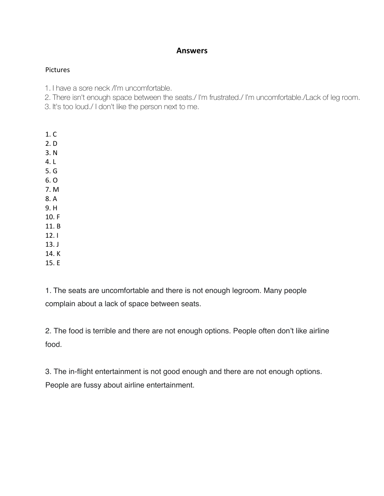# **Answers**

#### Pictures

1. I have a sore neck /I'm uncomfortable.

2. There isn't enough space between the seats./ I'm frustrated./ I'm uncomfortable./Lack of leg room.

3. It's too loud./ I don't like the person next to me.

- 1. C
- 2. D
- 3. N
- 4. L
- 5. G
- 6. O
- 7. M
- 8. A
- 9. H
- 10. F
- 11. B 12. I
- 13. J
- 14. K
- 15. E

1. The seats are uncomfortable and there is not enough legroom. Many people complain about a lack of space between seats.

2. The food is terrible and there are not enough options. People often don't like airline food.

3. The in-flight entertainment is not good enough and there are not enough options. People are fussy about airline entertainment.